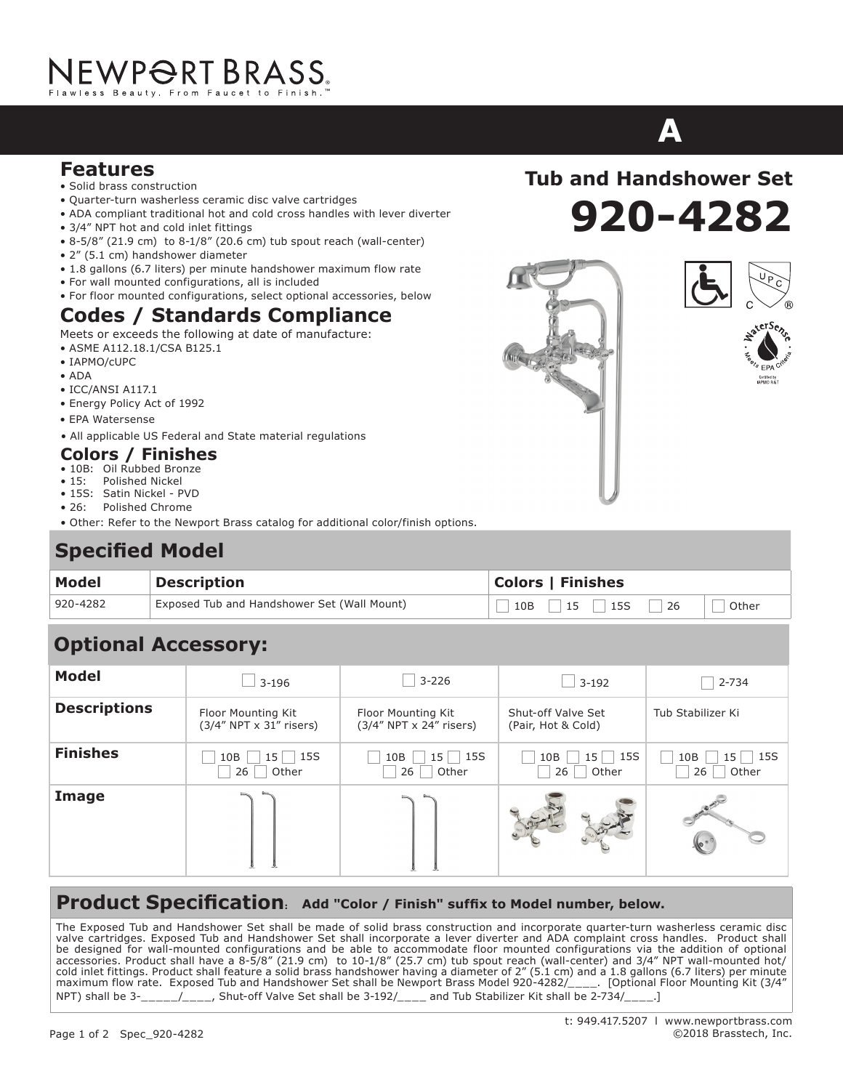## NEWP<del>O</del>RT BRASS.

- **Features**<br> **Wides Construction** • Solid brass construction<br>• Quarter-turn washerless
- Quarter-turn washerless ceramic disc valve cartridges
- ADA compliant traditional hot and cold cross handles with lever diverter
- 3/4" NPT hot and cold inlet fittings
- 8-5/8" (21.9 cm) to 8-1/8" (20.6 cm) tub spout reach (wall-center)
- 2" (5.1 cm) handshower diameter
- 1.8 gallons (6.7 liters) per minute handshower maximum flow rate
- For wall mounted configurations, all is included
- For floor mounted configurations, select optional accessories, below

#### **Codes / Standards Compliance**

- Meets or exceeds the following at date of manufacture:
- ASME A112.18.1/CSA B125.1
- $\bullet$  IAPMO/cUPC
- ADA
- $\bullet$  ICC/ANSI A117.1
- Energy Policy Act of 1992
- EPA Watersense
- All applicable US Federal and State material regulations

#### **Colors / Finishes**

- **Codes / Standards Compliance** 10B: Oil Rubbed Bronze
- 15: Polished Nickel
- 15S: Satin Nickel PVD
- 26: Polished Chrome
- Other: Refer to the Newport Brass catalog for additional color/finish options.

#### $\mathbf{r} = \mathbf{r} \cdot \mathbf{r}$  is a set of  $\mathbf{r} = \mathbf{r} \cdot \mathbf{r}$ Specified Model

| <b>Model</b> | <b>Description</b>                          | <b>Colors   Finishes</b>                          |  |  |
|--------------|---------------------------------------------|---------------------------------------------------|--|--|
| 920-4282     | Exposed Tub and Handshower Set (Wall Mount) | <b>15S</b><br>$15 \quad  $<br> 26<br>10B<br>Other |  |  |
|              |                                             |                                                   |  |  |

### **Optional Accessory:**

| <b>Model</b>        | $3 - 196$                                     | $3 - 226$                                     | $\overline{\phantom{0}}$ 3-192               | 2-734                            |
|---------------------|-----------------------------------------------|-----------------------------------------------|----------------------------------------------|----------------------------------|
| <b>Descriptions</b> | Floor Mounting Kit<br>(3/4" NPT x 31" risers) | Floor Mounting Kit<br>(3/4" NPT x 24" risers) | Shut-off Valve Set<br>(Pair, Hot & Cold)     | Tub Stabilizer Ki                |
| <b>Finishes</b>     | $15$   15S<br>10B<br>Other<br>26              | 15S<br>10B<br>15 <sub>1</sub><br>26<br>Other  | 15S<br>15 <sup>1</sup><br>10B<br>Other<br>26 | $15$   15S<br>10B<br>Other<br>26 |
| Image               |                                               |                                               |                                              |                                  |

#### **Product Specification: Add "Color / Finish" suffix to Model number, below.**

The Exposed Tub and Handshower Set shall be made of solid brass construction and incorporate quarter-turn washerless ceramic disc valve cartridges. Exposed Tub and Handshower Set shall incorporate a lever diverter and ADA complaint cross handles. Product shall product shall incorporate a lever diverte and ADA complaint cross handles. Product shall ha be designed for wall-mounted configurations and be able to accommodate floor mounted configurations via the addition of optional accessories. Product shall have a 8-5/8" (21.9 cm) to 10-1/8" (25.7 cm) tub spout reach (wall-center) and 3/4" NPT wall-mounted hot/ accessories. Product shall have a 8-5/8" (21.9 cm) to 10-1/8" (25.7 cm) tub spout reach (wall-center) and 3/4" NPT wall-mounted hot/<br>cold inlet fittings. Product shall feature a solid brass handshower having a diameter of maximum flow rate. Exposed Tub and Handshower Set shall be Newport Brass Model 920-4282/\_\_\_\_. [Optional Floor Mounting Kit (3/4")<br>NPT 10 11 11 2001 12:00 12:00 12:00 12:00 12:00 12:00 12:00 12:00 12:00 12:00 12:00 12:00 12 NPT) shall be 3-\_\_\_\_/\_\_\_\_\_, Shut-off Valve Set shall be 3-192/\_\_\_\_ and Tub Stabilizer Kit shall be 2-734/\_\_\_\_\_] integrate integral supply hosted and brass integral supply did and feature of 200 and a traditional supply that integrates with  $\alpha$ urn was help and the state of the state shall have a carter shall have a carter shall have

# **ASTOR ASTOR**